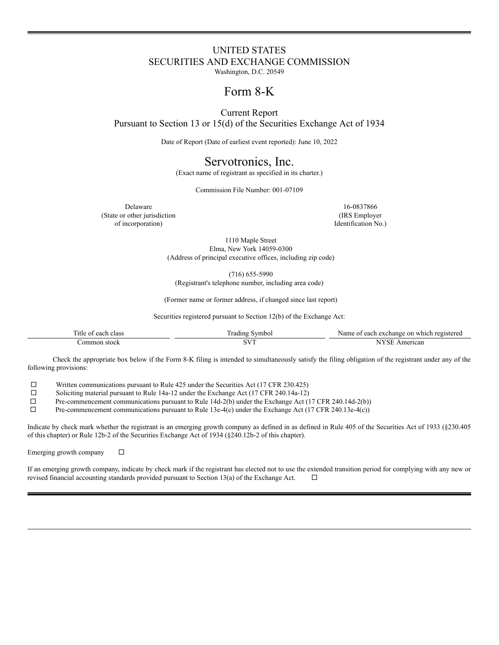# UNITED STATES SECURITIES AND EXCHANGE COMMISSION

Washington, D.C. 20549

# Form 8-K

Current Report

Pursuant to Section 13 or 15(d) of the Securities Exchange Act of 1934

Date of Report (Date of earliest event reported): June 10, 2022

## Servotronics, Inc.

(Exact name of registrant as specified in its charter.)

Commission File Number: 001-07109

Delaware 16-0837866 (State or other jurisdiction (IRS Employer of incorporation) Identification No.)

1110 Maple Street Elma, New York 14059-0300 (Address of principal executive offices, including zip code)

(716) 655-5990

(Registrant's telephone number, including area code)

(Former name or former address, if changed since last report)

Securities registered pursuant to Section 12(b) of the Exchange Act:

| . itle<br>class<br>each<br>ω | radıng<br>symbol | <b>Name</b><br>exchange<br><sub>on</sub><br>'ara<br>each<br><b>XX7</b><br>$"$ $^{\alpha}$ $^{\alpha}$ $^{\alpha}$ $^{\beta}$<br>vnicr<br>ו גי |
|------------------------------|------------------|-----------------------------------------------------------------------------------------------------------------------------------------------|
| $\alpha$ m<br>ion<br>stock   |                  | mericar.                                                                                                                                      |

Check the appropriate box below if the Form 8-K filing is intended to simultaneously satisfy the filing obligation of the registrant under any of the following provisions:

 $\Box$  Written communications pursuant to Rule 425 under the Securities Act (17 CFR 230.425)

 $\Box$  Soliciting material pursuant to Rule 14a-12 under the Exchange Act (17 CFR 240.14a-12)

 $\Box$  Pre-commencement communications pursuant to Rule 14d-2(b) under the Exchange Act (17 CFR 240.14d-2(b))

 $\Box$  Pre-commencement communications pursuant to Rule 13e-4(c) under the Exchange Act (17 CFR 240.13e-4(c))

Indicate by check mark whether the registrant is an emerging growth company as defined in as defined in Rule 405 of the Securities Act of 1933 (§230.405 of this chapter) or Rule 12b-2 of the Securities Exchange Act of 1934 (§240.12b-2 of this chapter).

Emerging growth company  $\square$ 

If an emerging growth company, indicate by check mark if the registrant has elected not to use the extended transition period for complying with any new or revised financial accounting standards provided pursuant to Section 13(a) of the Exchange Act.  $\Box$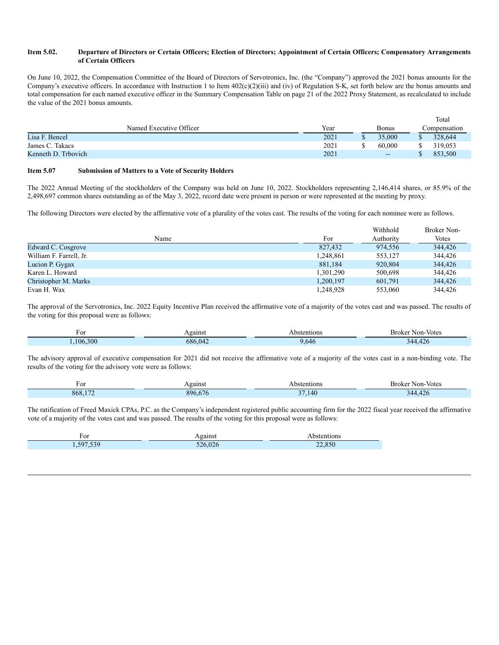#### Item 5.02. Departure of Directors or Certain Officers; Election of Directors; Appointment of Certain Officers; Compensatory Arrangements **of Certain Officers**

On June 10, 2022, the Compensation Committee of the Board of Directors of Servotronics, Inc. (the "Company") approved the 2021 bonus amounts for the Company's executive officers. In accordance with Instruction 1 to Item  $402(c)(2)(iii)$  and (iv) of Regulation S-K, set forth below are the bonus amounts and total compensation for each named executive officer in the Summary Compensation Table on page 21 of the 2022 Proxy Statement, as recalculated to include the value of the 2021 bonus amounts.

|                         |      |              |   | Total        |
|-------------------------|------|--------------|---|--------------|
| Named Executive Officer | Year | <b>Bonus</b> |   | Compensation |
| Lisa F. Bencel          | 2021 | 35,000       |   | 328,644      |
| James C. Takacs         | 2021 | 60,000       | ጡ | 319,053      |
| Kenneth D. Trbovich     | 2021 | $- -$        |   | 853,500      |

### **Item 5.07 Submission of Matters to a Vote of Security Holders**

The 2022 Annual Meeting of the stockholders of the Company was held on June 10, 2022. Stockholders representing 2,146,414 shares, or 85.9% of the 2,498,697 common shares outstanding as of the May 3, 2022, record date were present in person or were represented at the meeting by proxy.

The following Directors were elected by the affirmative vote of a plurality of the votes cast. The results of the voting for each nominee were as follows.

|                         |           | Withhold  | <b>Broker Non-</b> |
|-------------------------|-----------|-----------|--------------------|
| Name                    | For       | Authority | Votes              |
| Edward C. Cosgrove      | 827,432   | 974.556   | 344,426            |
| William F. Farrell, Jr. | 1.248.861 | 553.127   | 344,426            |
| Lucion P. Gygax         | 881,184   | 920,804   | 344,426            |
| Karen L. Howard         | 1,301,290 | 500,698   | 344,426            |
| Christopher M. Marks    | 1,200,197 | 601.791   | 344,426            |
| Evan H. Wax             | 1.248.928 | 553,060   | 344,426            |

The approval of the Servotronics, Inc. 2022 Equity Incentive Plan received the affirmative vote of a majority of the votes cast and was passed. The results of the voting for this proposal were as follows:

| F01         | gains           | entions<br>− | <b>Votes</b><br>Non-<br>.         |
|-------------|-----------------|--------------|-----------------------------------|
| .300<br>106 | .<br>68<br>.W42 | ᠇◡           | $\lambda$ $\sim$<br>$\frac{1}{2}$ |

The advisory approval of executive compensation for 2021 did not receive the affirmative vote of a majority of the votes cast in a non-binding vote. The results of the voting for the advisory vote were as follows:

| F or          | \gainst                   | stentions     | Broker Non-Votes        |
|---------------|---------------------------|---------------|-------------------------|
| 1.77<br>868.1 | $\sim$<br>896<br>$\cdots$ | $\sim$<br>140 | $\sqrt{2}$<br>$\Lambda$ |

The ratification of Freed Maxick CPAs, P.C. as the Company's independent registered public accounting firm for the 2022 fiscal year received the affirmative vote of a majority of the votes cast and was passed. The results of the voting for this proposal were as follows:

| A,<br>IJ<br>$  -$ |  |  |  |
|-------------------|--|--|--|
|                   |  |  |  |